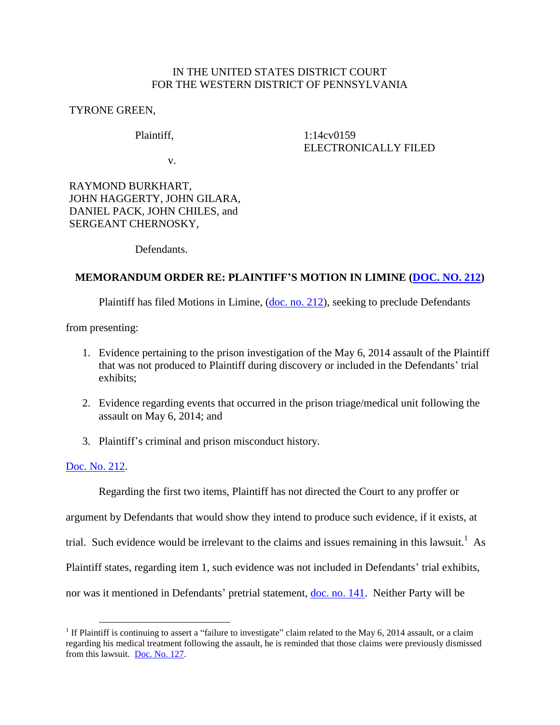## IN THE UNITED STATES DISTRICT COURT FOR THE WESTERN DISTRICT OF PENNSYLVANIA

TYRONE GREEN,

## Plaintiff,

1:14cv0159 ELECTRONICALLY FILED

v.

RAYMOND BURKHART, JOHN HAGGERTY, JOHN GILARA, DANIEL PACK, JOHN CHILES, and SERGEANT CHERNOSKY,

Defendants.

## **MEMORANDUM ORDER RE: PLAINTIFF'S MOTION IN LIMINE [\(DOC. NO. 212\)](https://ecf.pawd.uscourts.gov/doc1/15715772664)**

Plaintiff has filed Motions in Limine, [\(doc. no. 212\)](https://ecf.pawd.uscourts.gov/doc1/15715772664), seeking to preclude Defendants

from presenting:

- 1. Evidence pertaining to the prison investigation of the May 6, 2014 assault of the Plaintiff that was not produced to Plaintiff during discovery or included in the Defendants' trial exhibits;
- 2. Evidence regarding events that occurred in the prison triage/medical unit following the assault on May 6, 2014; and
- 3. Plaintiff's criminal and prison misconduct history.

## [Doc. No. 212.](https://ecf.pawd.uscourts.gov/doc1/15715772664)

 $\overline{a}$ 

Regarding the first two items, Plaintiff has not directed the Court to any proffer or argument by Defendants that would show they intend to produce such evidence, if it exists, at trial. Such evidence would be irrelevant to the claims and issues remaining in this lawsuit.<sup>1</sup> As Plaintiff states, regarding item 1, such evidence was not included in Defendants' trial exhibits, nor was it mentioned in Defendants' pretrial statement, [doc. no. 141.](https://ecf.pawd.uscourts.gov/doc1/15715576002) Neither Party will be

<sup>&</sup>lt;sup>1</sup> If Plaintiff is continuing to assert a "failure to investigate" claim related to the May 6, 2014 assault, or a claim regarding his medical treatment following the assault, he is reminded that those claims were previously dismissed from this lawsuit. [Doc. No. 127.](https://ecf.pawd.uscourts.gov/doc1/15715391996)